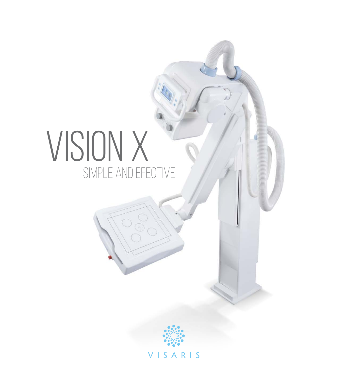# VISION X simple and efective



VISARIS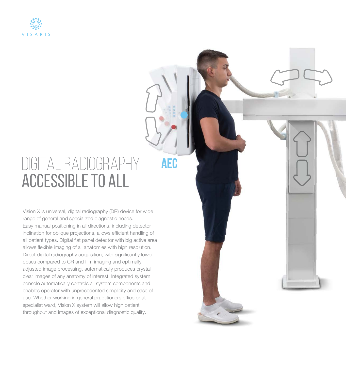

## Digital radiography accessible to all

**aec**

Vision X is universal, digital radiography (DR) device for wide range of general and specialized diagnostic needs. Easy manual positioning in all directions, including detector inclination for oblique projections, allows efficient handling of all patient types. Digital flat panel detector with big active area allows flexible imaging of all anatomies with high resolution. Direct digital radiography acquisition, with significantly lower doses compared to CR and film imaging and optimally adjusted image processing, automatically produces crystal clear images of any anatomy of interest. Integrated system console automatically controls all system components and enables operator with unprecedented simplicity and ease of use. Whether working in general practitioners office or at specialist ward, Vision X system will allow high patient throughput and images of exceptional diagnostic quality.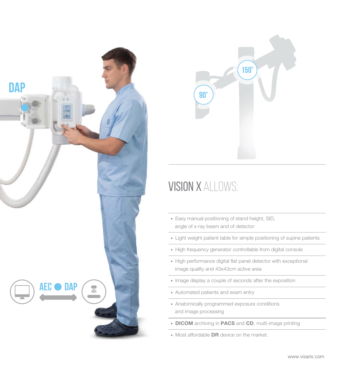



#### Vision X allows:

- Easy manual positioning of stand height, SID, angle of x-ray beam and of detector
- Light weight patient table for simple positioning of supine patients
- High frequency generator controllable from digital console
- High performance digital flat panel detector with exceptional image quality and 43x43cm active area
- Image display a couple of seconds after the exposition
- Automated patients and exam entry
- Anatomically programmed exposure conditions and image processing
- DICOM archiving in PACS and CD, multi-image printing
- Most affordable **DR** device on the market.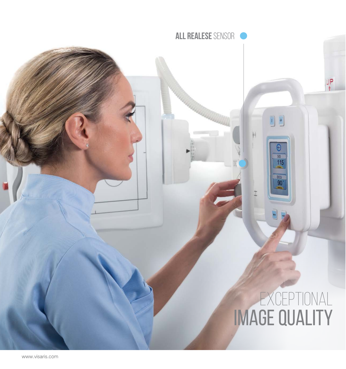Exceptional image quality

国土

 $rac{510}{115}$ 

DEG<br>90

 $\mathbb{H}$ 

**all realese** sensor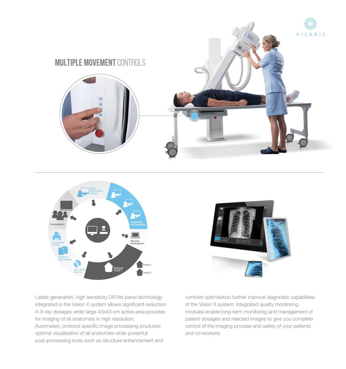





Latest generation, high sensitivity DR flat panel technology integrated in the Vision X system allows significant reduction in X-ray dosages while large 43x43 cm active area provides for imaging of all anatomies in high resolution. Automated, protocol specific image processing produces optimal visualisation of all anatomies while powerfull post-processing tools such as structure enhancement and

contrast optimisation further improve diagnostic capabilities of the Vision X system. Integrated quality monitoring modules enable long-term monitoring and management of patient dosages and rejected images to give you complete control of the imaging process and safety of your patients and co-workers.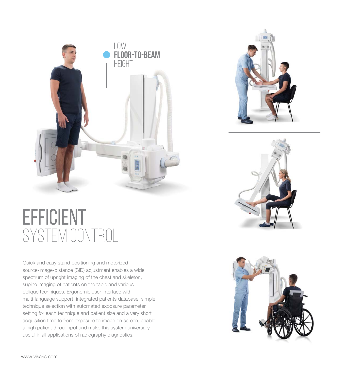

### **EFFICIENT** system control

Quick and easy stand positioning and motorized source-image-distance (SID) adjustment enables a wide spectrum of upright imaging of the chest and skeleton, supine imaging of patients on the table and various oblique techniques. Ergonomic user interface with multi-language support, integrated patients database, simple technique selection with automated exposure parameter setting for each technique and patient size and a very short acquisition time to from exposure to image on screen, enable a high patient throughput and make this system universally useful in all applications of radiography diagnostics.







www.visaris.com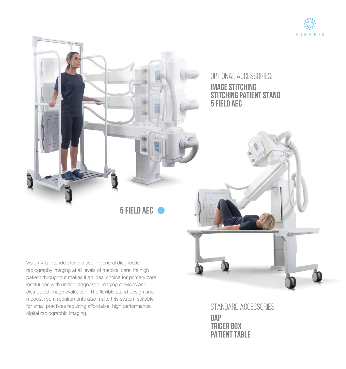



digital radiographic imaging.

standard accessories: **dap triger box patient table**